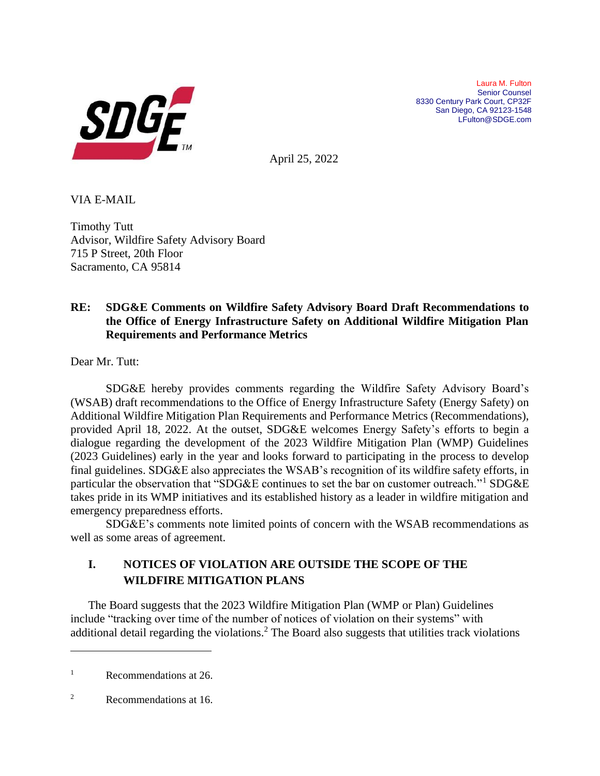

Laura M. Fulton Senior Counsel 8330 Century Park Court, CP32F San Diego, CA 92123-1548 LFulton@SDGE.com

April 25, 2022

VIA E-MAIL

Timothy Tutt Advisor, Wildfire Safety Advisory Board 715 P Street, 20th Floor Sacramento, CA 95814

### **RE: SDG&E Comments on Wildfire Safety Advisory Board Draft Recommendations to the Office of Energy Infrastructure Safety on Additional Wildfire Mitigation Plan Requirements and Performance Metrics**

Dear Mr. Tutt:

SDG&E hereby provides comments regarding the Wildfire Safety Advisory Board's (WSAB) draft recommendations to the Office of Energy Infrastructure Safety (Energy Safety) on Additional Wildfire Mitigation Plan Requirements and Performance Metrics (Recommendations), provided April 18, 2022. At the outset, SDG&E welcomes Energy Safety's efforts to begin a dialogue regarding the development of the 2023 Wildfire Mitigation Plan (WMP) Guidelines (2023 Guidelines) early in the year and looks forward to participating in the process to develop final guidelines. SDG&E also appreciates the WSAB's recognition of its wildfire safety efforts, in particular the observation that "SDG&E continues to set the bar on customer outreach."<sup>1</sup> SDG&E takes pride in its WMP initiatives and its established history as a leader in wildfire mitigation and emergency preparedness efforts.

SDG&E's comments note limited points of concern with the WSAB recommendations as well as some areas of agreement.

## **I. NOTICES OF VIOLATION ARE OUTSIDE THE SCOPE OF THE WILDFIRE MITIGATION PLANS**

The Board suggests that the 2023 Wildfire Mitigation Plan (WMP or Plan) Guidelines include "tracking over time of the number of notices of violation on their systems" with additional detail regarding the violations.<sup>2</sup> The Board also suggests that utilities track violations

<sup>&</sup>lt;sup>1</sup> Recommendations at 26.

<sup>2</sup> Recommendations at 16.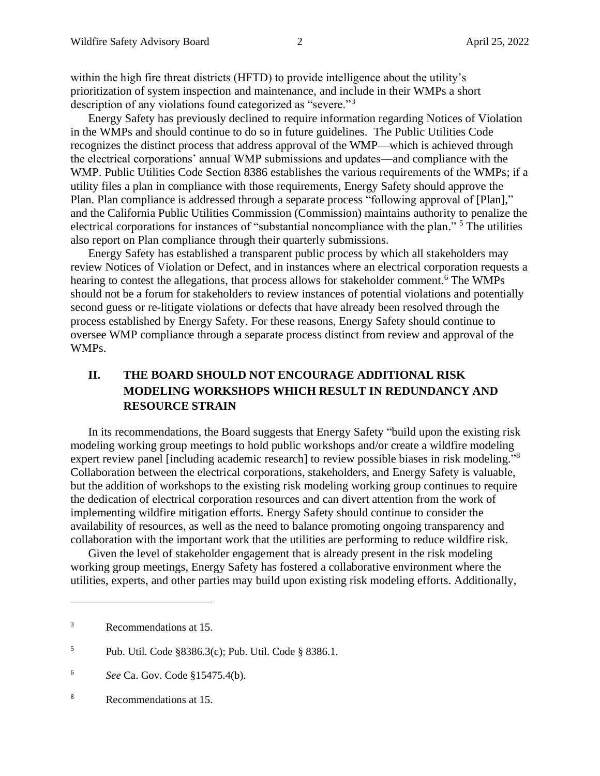within the high fire threat districts (HFTD) to provide intelligence about the utility's prioritization of system inspection and maintenance, and include in their WMPs a short description of any violations found categorized as "severe."<sup>3</sup>

Energy Safety has previously declined to require information regarding Notices of Violation in the WMPs and should continue to do so in future guidelines. The Public Utilities Code recognizes the distinct process that address approval of the WMP—which is achieved through the electrical corporations' annual WMP submissions and updates—and compliance with the WMP. Public Utilities Code Section 8386 establishes the various requirements of the WMPs; if a utility files a plan in compliance with those requirements, Energy Safety should approve the Plan. Plan compliance is addressed through a separate process "following approval of [Plan]," and the California Public Utilities Commission (Commission) maintains authority to penalize the electrical corporations for instances of "substantial noncompliance with the plan." <sup>5</sup> The utilities also report on Plan compliance through their quarterly submissions.

Energy Safety has established a transparent public process by which all stakeholders may review Notices of Violation or Defect, and in instances where an electrical corporation requests a hearing to contest the allegations, that process allows for stakeholder comment.<sup>6</sup> The WMPs should not be a forum for stakeholders to review instances of potential violations and potentially second guess or re-litigate violations or defects that have already been resolved through the process established by Energy Safety. For these reasons, Energy Safety should continue to oversee WMP compliance through a separate process distinct from review and approval of the WMPs.

# **II. THE BOARD SHOULD NOT ENCOURAGE ADDITIONAL RISK MODELING WORKSHOPS WHICH RESULT IN REDUNDANCY AND RESOURCE STRAIN**

In its recommendations, the Board suggests that Energy Safety "build upon the existing risk modeling working group meetings to hold public workshops and/or create a wildfire modeling expert review panel [including academic research] to review possible biases in risk modeling."<sup>8</sup> Collaboration between the electrical corporations, stakeholders, and Energy Safety is valuable, but the addition of workshops to the existing risk modeling working group continues to require the dedication of electrical corporation resources and can divert attention from the work of implementing wildfire mitigation efforts. Energy Safety should continue to consider the availability of resources, as well as the need to balance promoting ongoing transparency and collaboration with the important work that the utilities are performing to reduce wildfire risk.

Given the level of stakeholder engagement that is already present in the risk modeling working group meetings, Energy Safety has fostered a collaborative environment where the utilities, experts, and other parties may build upon existing risk modeling efforts. Additionally,

<sup>3</sup> Recommendations at 15.

<sup>5</sup> Pub. Util. Code §8386.3(c); Pub. Util. Code § 8386.1.

<sup>6</sup> *See* Ca. Gov. Code §15475.4(b).

<sup>8</sup> Recommendations at 15.